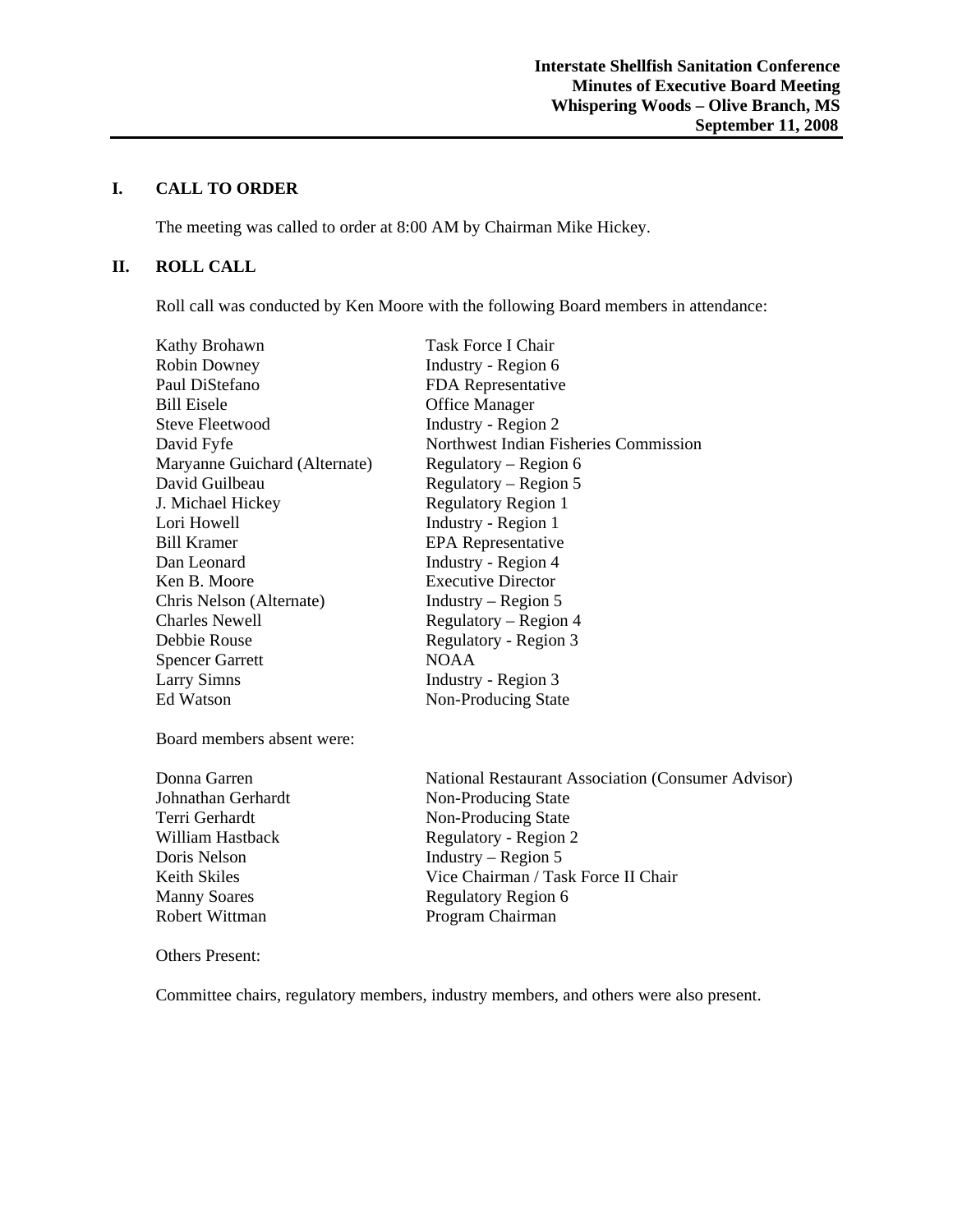## **I. CALL TO ORDER**

The meeting was called to order at 8:00 AM by Chairman Mike Hickey.

## **II. ROLL CALL**

Roll call was conducted by Ken Moore with the following Board members in attendance:

| Kathy Brohawn                 | Task Force I Chair                    |
|-------------------------------|---------------------------------------|
| <b>Robin Downey</b>           | Industry - Region 6                   |
| Paul DiStefano                | FDA Representative                    |
| <b>Bill Eisele</b>            | <b>Office Manager</b>                 |
| Steve Fleetwood               | Industry - Region 2                   |
| David Fyfe                    | Northwest Indian Fisheries Commission |
| Maryanne Guichard (Alternate) | Regulatory – Region 6                 |
| David Guilbeau                | Regulatory – Region 5                 |
| J. Michael Hickey             | <b>Regulatory Region 1</b>            |
| Lori Howell                   | Industry - Region 1                   |
| <b>Bill Kramer</b>            | <b>EPA</b> Representative             |
| Dan Leonard                   | Industry - Region 4                   |
| Ken B. Moore                  | <b>Executive Director</b>             |
| Chris Nelson (Alternate)      | Industry – Region $5$                 |
| <b>Charles Newell</b>         | Regulatory – Region 4                 |
| Debbie Rouse                  | Regulatory - Region 3                 |
| <b>Spencer Garrett</b>        | <b>NOAA</b>                           |
| <b>Larry Simns</b>            | Industry - Region 3                   |
| Ed Watson                     | Non-Producing State                   |
| Board members absent were:    |                                       |

Donna Garren National Restaurant Association (Consumer Advisor) Johnathan Gerhardt Non-Producing State Terri Gerhardt Non-Producing State William Hastback Regulatory - Region 2 Doris Nelson Industry – Region 5 Keith Skiles Vice Chairman / Task Force II Chair Manny Soares Regulatory Region 6<br>Robert Wittman Robert Wittman Program Chairman

#### Others Present:

Committee chairs, regulatory members, industry members, and others were also present.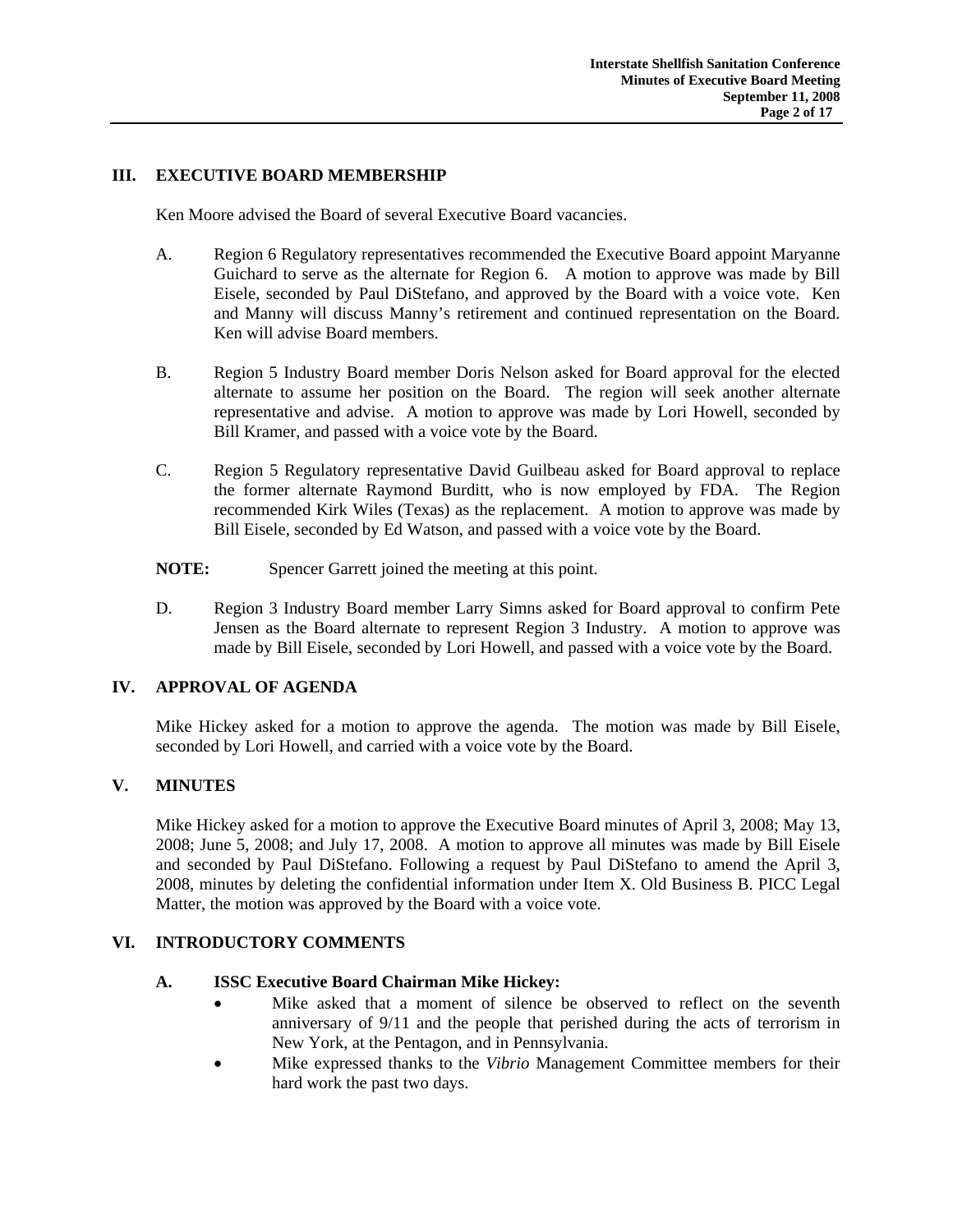# **III. EXECUTIVE BOARD MEMBERSHIP**

Ken Moore advised the Board of several Executive Board vacancies.

- A. Region 6 Regulatory representatives recommended the Executive Board appoint Maryanne Guichard to serve as the alternate for Region 6. A motion to approve was made by Bill Eisele, seconded by Paul DiStefano, and approved by the Board with a voice vote. Ken and Manny will discuss Manny's retirement and continued representation on the Board. Ken will advise Board members.
- B. Region 5 Industry Board member Doris Nelson asked for Board approval for the elected alternate to assume her position on the Board. The region will seek another alternate representative and advise. A motion to approve was made by Lori Howell, seconded by Bill Kramer, and passed with a voice vote by the Board.
- C. Region 5 Regulatory representative David Guilbeau asked for Board approval to replace the former alternate Raymond Burditt, who is now employed by FDA. The Region recommended Kirk Wiles (Texas) as the replacement. A motion to approve was made by Bill Eisele, seconded by Ed Watson, and passed with a voice vote by the Board.
- **NOTE:** Spencer Garrett joined the meeting at this point.
- D. Region 3 Industry Board member Larry Simns asked for Board approval to confirm Pete Jensen as the Board alternate to represent Region 3 Industry. A motion to approve was made by Bill Eisele, seconded by Lori Howell, and passed with a voice vote by the Board.

## **IV. APPROVAL OF AGENDA**

 Mike Hickey asked for a motion to approve the agenda. The motion was made by Bill Eisele, seconded by Lori Howell, and carried with a voice vote by the Board.

## **V. MINUTES**

 Mike Hickey asked for a motion to approve the Executive Board minutes of April 3, 2008; May 13, 2008; June 5, 2008; and July 17, 2008. A motion to approve all minutes was made by Bill Eisele and seconded by Paul DiStefano. Following a request by Paul DiStefano to amend the April 3, 2008, minutes by deleting the confidential information under Item X. Old Business B. PICC Legal Matter, the motion was approved by the Board with a voice vote.

## **VI. INTRODUCTORY COMMENTS**

#### **A. ISSC Executive Board Chairman Mike Hickey:**

- Mike asked that a moment of silence be observed to reflect on the seventh anniversary of 9/11 and the people that perished during the acts of terrorism in New York, at the Pentagon, and in Pennsylvania.
- Mike expressed thanks to the *Vibrio* Management Committee members for their hard work the past two days.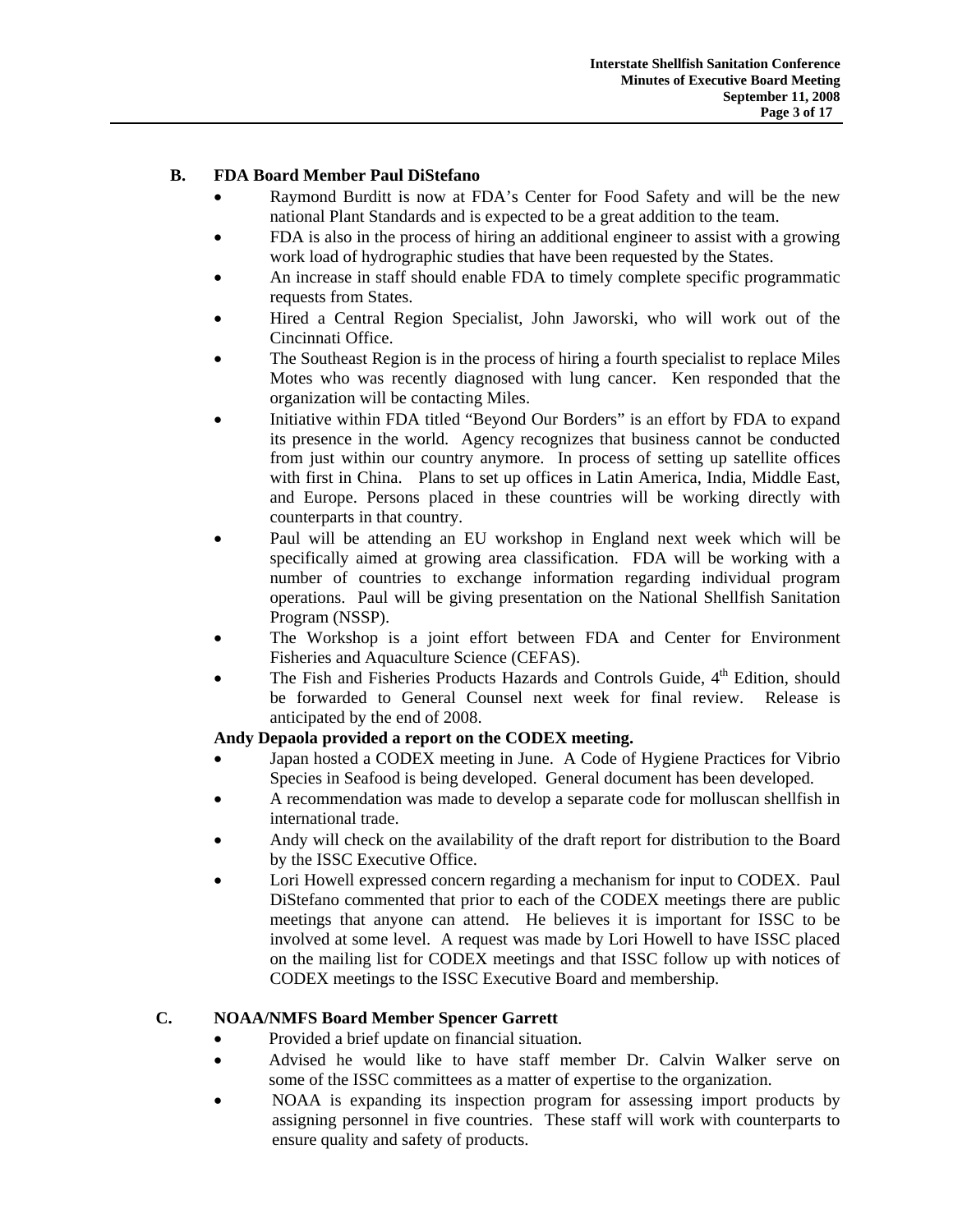# **B. FDA Board Member Paul DiStefano**

- Raymond Burditt is now at FDA's Center for Food Safety and will be the new national Plant Standards and is expected to be a great addition to the team.
- FDA is also in the process of hiring an additional engineer to assist with a growing work load of hydrographic studies that have been requested by the States.
- An increase in staff should enable FDA to timely complete specific programmatic requests from States.
- Hired a Central Region Specialist, John Jaworski, who will work out of the Cincinnati Office.
- The Southeast Region is in the process of hiring a fourth specialist to replace Miles Motes who was recently diagnosed with lung cancer. Ken responded that the organization will be contacting Miles.
- Initiative within FDA titled "Beyond Our Borders" is an effort by FDA to expand its presence in the world. Agency recognizes that business cannot be conducted from just within our country anymore. In process of setting up satellite offices with first in China. Plans to set up offices in Latin America, India, Middle East, and Europe. Persons placed in these countries will be working directly with counterparts in that country.
- Paul will be attending an EU workshop in England next week which will be specifically aimed at growing area classification. FDA will be working with a number of countries to exchange information regarding individual program operations. Paul will be giving presentation on the National Shellfish Sanitation Program (NSSP).
- The Workshop is a joint effort between FDA and Center for Environment Fisheries and Aquaculture Science (CEFAS).
- The Fish and Fisheries Products Hazards and Controls Guide,  $4<sup>th</sup>$  Edition, should be forwarded to General Counsel next week for final review. Release is anticipated by the end of 2008.

# **Andy Depaola provided a report on the CODEX meeting.**

- Japan hosted a CODEX meeting in June. A Code of Hygiene Practices for Vibrio Species in Seafood is being developed. General document has been developed.
- A recommendation was made to develop a separate code for molluscan shellfish in international trade.
- Andy will check on the availability of the draft report for distribution to the Board by the ISSC Executive Office.
- Lori Howell expressed concern regarding a mechanism for input to CODEX. Paul DiStefano commented that prior to each of the CODEX meetings there are public meetings that anyone can attend. He believes it is important for ISSC to be involved at some level. A request was made by Lori Howell to have ISSC placed on the mailing list for CODEX meetings and that ISSC follow up with notices of CODEX meetings to the ISSC Executive Board and membership.

# **C. NOAA/NMFS Board Member Spencer Garrett**

- Provided a brief update on financial situation.
- Advised he would like to have staff member Dr. Calvin Walker serve on some of the ISSC committees as a matter of expertise to the organization.
- NOAA is expanding its inspection program for assessing import products by assigning personnel in five countries. These staff will work with counterparts to ensure quality and safety of products.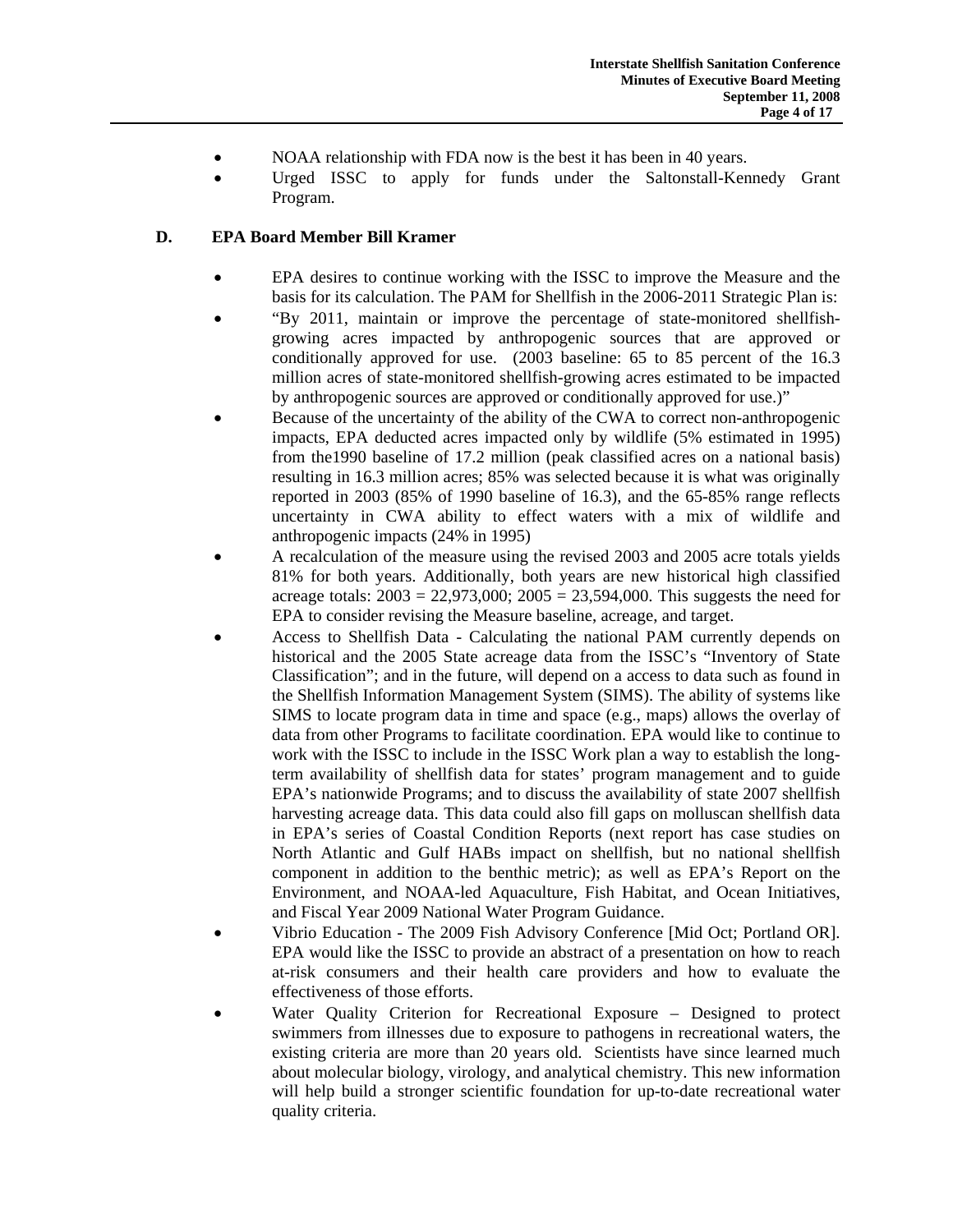- NOAA relationship with FDA now is the best it has been in 40 years.
- Urged ISSC to apply for funds under the Saltonstall-Kennedy Grant Program.

# **D. EPA Board Member Bill Kramer**

- EPA desires to continue working with the ISSC to improve the Measure and the basis for its calculation. The PAM for Shellfish in the 2006-2011 Strategic Plan is:
- "By 2011, maintain or improve the percentage of state-monitored shellfishgrowing acres impacted by anthropogenic sources that are approved or conditionally approved for use. (2003 baseline: 65 to 85 percent of the 16.3 million acres of state-monitored shellfish-growing acres estimated to be impacted by anthropogenic sources are approved or conditionally approved for use.)"
- Because of the uncertainty of the ability of the CWA to correct non-anthropogenic impacts, EPA deducted acres impacted only by wildlife (5% estimated in 1995) from the1990 baseline of 17.2 million (peak classified acres on a national basis) resulting in 16.3 million acres; 85% was selected because it is what was originally reported in 2003 (85% of 1990 baseline of 16.3), and the 65-85% range reflects uncertainty in CWA ability to effect waters with a mix of wildlife and anthropogenic impacts (24% in 1995)
- A recalculation of the measure using the revised 2003 and 2005 acre totals yields 81% for both years. Additionally, both years are new historical high classified acreage totals:  $2003 = 22,973,000$ ;  $2005 = 23,594,000$ . This suggests the need for EPA to consider revising the Measure baseline, acreage, and target.
- Access to Shellfish Data Calculating the national PAM currently depends on historical and the 2005 State acreage data from the ISSC's "Inventory of State Classification"; and in the future, will depend on a access to data such as found in the Shellfish Information Management System (SIMS). The ability of systems like SIMS to locate program data in time and space (e.g., maps) allows the overlay of data from other Programs to facilitate coordination. EPA would like to continue to work with the ISSC to include in the ISSC Work plan a way to establish the longterm availability of shellfish data for states' program management and to guide EPA's nationwide Programs; and to discuss the availability of state 2007 shellfish harvesting acreage data. This data could also fill gaps on molluscan shellfish data in EPA's series of Coastal Condition Reports (next report has case studies on North Atlantic and Gulf HABs impact on shellfish, but no national shellfish component in addition to the benthic metric); as well as EPA's Report on the Environment, and NOAA-led Aquaculture, Fish Habitat, and Ocean Initiatives, and Fiscal Year 2009 National Water Program Guidance.
- Vibrio Education The 2009 Fish Advisory Conference [Mid Oct; Portland OR]. EPA would like the ISSC to provide an abstract of a presentation on how to reach at-risk consumers and their health care providers and how to evaluate the effectiveness of those efforts.
- Water Quality Criterion for Recreational Exposure Designed to protect swimmers from illnesses due to exposure to pathogens in recreational waters, the existing criteria are more than 20 years old. Scientists have since learned much about molecular biology, virology, and analytical chemistry. This new information will help build a stronger scientific foundation for up-to-date recreational water quality criteria.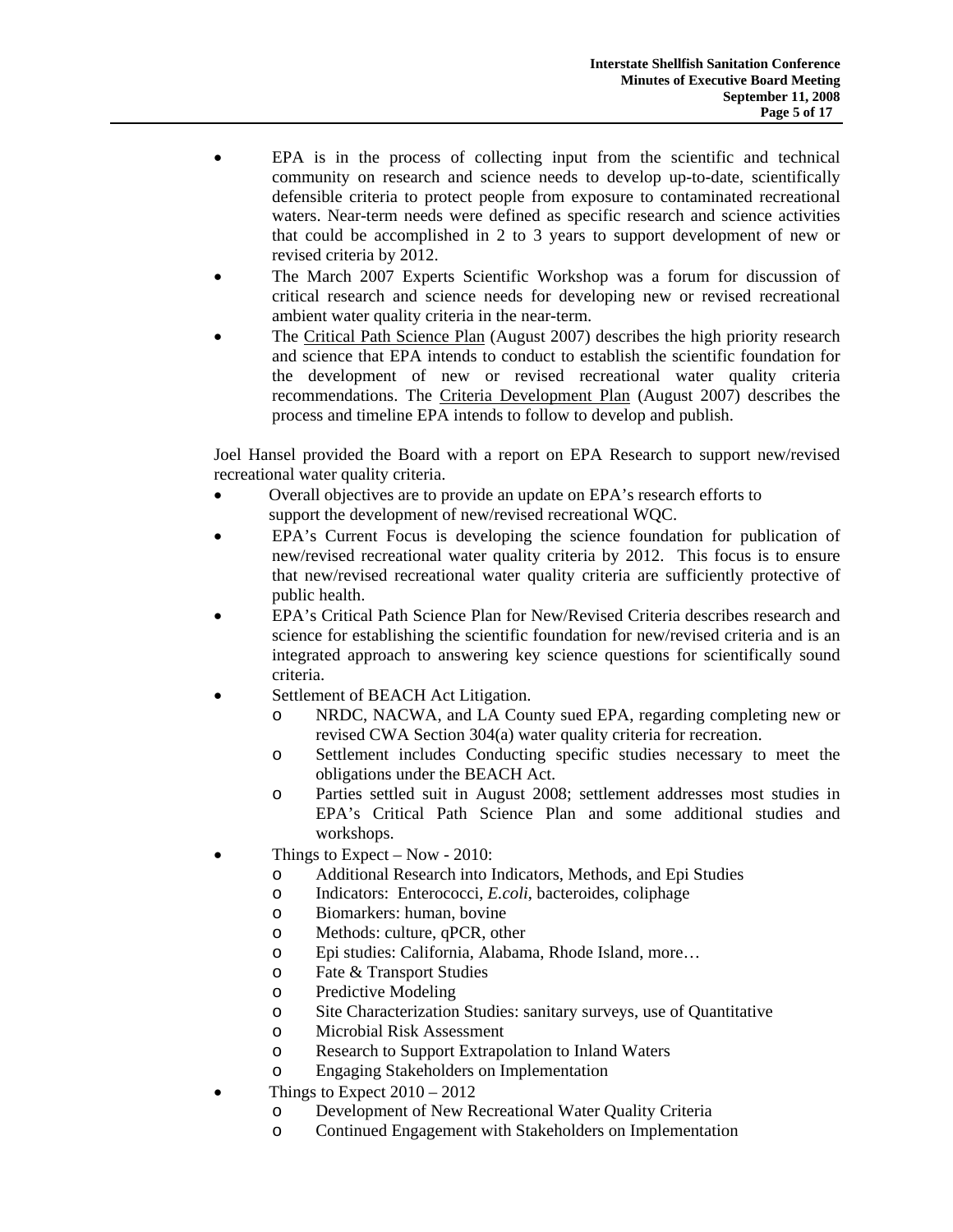- EPA is in the process of collecting input from the scientific and technical community on research and science needs to develop up-to-date, scientifically defensible criteria to protect people from exposure to contaminated recreational waters. Near-term needs were defined as specific research and science activities that could be accomplished in 2 to 3 years to support development of new or revised criteria by 2012.
- The March 2007 Experts Scientific Workshop was a forum for discussion of critical research and science needs for developing new or revised recreational ambient water quality criteria in the near-term.
- The [Critical Path Science Plan](http://www.epa.gov/waterscience/criteria/recreation/plan/index.html) (August 2007) describes the high priority research and science that EPA intends to conduct to establish the scientific foundation for the development of new or revised recreational water quality criteria recommendations. The [Criteria Development Plan](http://www.epa.gov/waterscience/criteria/recreation/plan/index.html#development) (August 2007) describes the process and timeline EPA intends to follow to develop and publish.

Joel Hansel provided the Board with a report on EPA Research to support new/revised recreational water quality criteria.

- Overall objectives are to provide an update on EPA's research efforts to support the development of new/revised recreational WQC.
- EPA's Current Focus is developing the science foundation for publication of new/revised recreational water quality criteria by 2012. This focus is to ensure that new/revised recreational water quality criteria are sufficiently protective of public health.
- EPA's Critical Path Science Plan for New/Revised Criteria describes research and science for establishing the scientific foundation for new/revised criteria and is an integrated approach to answering key science questions for scientifically sound criteria.
- Settlement of BEACH Act Litigation.
	- o NRDC, NACWA, and LA County sued EPA, regarding completing new or revised CWA Section 304(a) water quality criteria for recreation.
	- o Settlement includes Conducting specific studies necessary to meet the obligations under the BEACH Act.
	- o Parties settled suit in August 2008; settlement addresses most studies in EPA's Critical Path Science Plan and some additional studies and workshops.
- Things to Expect Now 2010:
	- o Additional Research into Indicators, Methods, and Epi Studies
	- o Indicators: Enterococci, *E.coli*, bacteroides, coliphage
	- o Biomarkers: human, bovine
	- o Methods: culture, qPCR, other
	- o Epi studies: California, Alabama, Rhode Island, more…
	- o Fate & Transport Studies
	- o Predictive Modeling
	- o Site Characterization Studies: sanitary surveys, use of Quantitative
	- o Microbial Risk Assessment
	- o Research to Support Extrapolation to Inland Waters
	- o Engaging Stakeholders on Implementation
- Things to Expect  $2010 2012$ 
	- o Development of New Recreational Water Quality Criteria
	- o Continued Engagement with Stakeholders on Implementation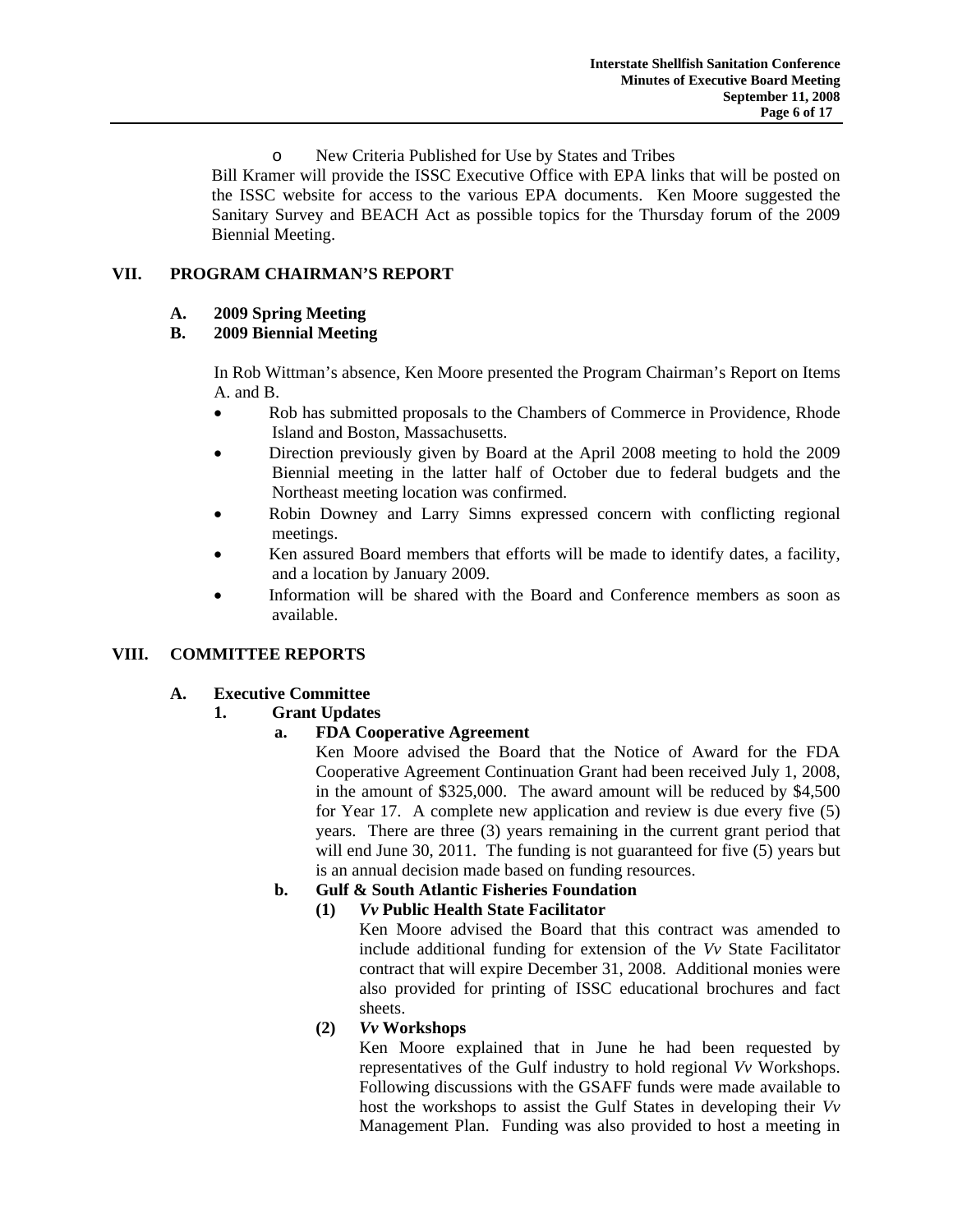o New Criteria Published for Use by States and Tribes

Bill Kramer will provide the ISSC Executive Office with EPA links that will be posted on the ISSC website for access to the various EPA documents. Ken Moore suggested the Sanitary Survey and BEACH Act as possible topics for the Thursday forum of the 2009 Biennial Meeting.

# **VII. PROGRAM CHAIRMAN'S REPORT**

# **A. 2009 Spring Meeting**

# **B. 2009 Biennial Meeting**

 In Rob Wittman's absence, Ken Moore presented the Program Chairman's Report on Items A. and B.

- Rob has submitted proposals to the Chambers of Commerce in Providence, Rhode Island and Boston, Massachusetts.
- Direction previously given by Board at the April 2008 meeting to hold the 2009 Biennial meeting in the latter half of October due to federal budgets and the Northeast meeting location was confirmed.
- Robin Downey and Larry Simns expressed concern with conflicting regional meetings.
- Ken assured Board members that efforts will be made to identify dates, a facility, and a location by January 2009.
- Information will be shared with the Board and Conference members as soon as available.

# **VIII. COMMITTEE REPORTS**

## **A. Executive Committee**

## **1. Grant Updates**

# **a. FDA Cooperative Agreement**

 Ken Moore advised the Board that the Notice of Award for the FDA Cooperative Agreement Continuation Grant had been received July 1, 2008, in the amount of \$325,000. The award amount will be reduced by \$4,500 for Year 17. A complete new application and review is due every five (5) years. There are three (3) years remaining in the current grant period that will end June 30, 2011. The funding is not guaranteed for five  $(5)$  years but is an annual decision made based on funding resources.

# **b. Gulf & South Atlantic Fisheries Foundation**

## **(1)** *Vv* **Public Health State Facilitator**

 Ken Moore advised the Board that this contract was amended to include additional funding for extension of the *Vv* State Facilitator contract that will expire December 31, 2008. Additional monies were also provided for printing of ISSC educational brochures and fact sheets.

## **(2)** *Vv* **Workshops**

 Ken Moore explained that in June he had been requested by representatives of the Gulf industry to hold regional *Vv* Workshops. Following discussions with the GSAFF funds were made available to host the workshops to assist the Gulf States in developing their *Vv* Management Plan. Funding was also provided to host a meeting in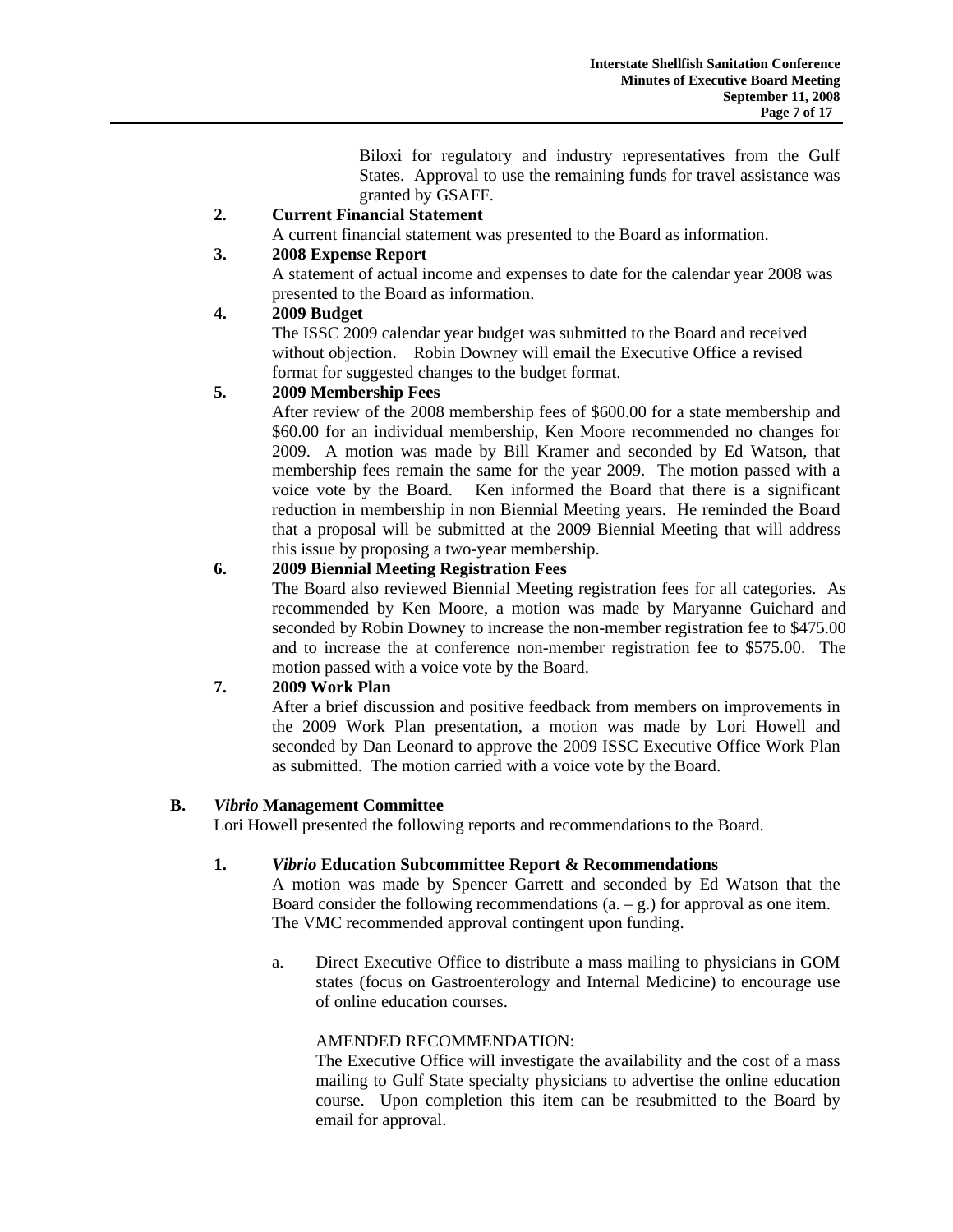Biloxi for regulatory and industry representatives from the Gulf States. Approval to use the remaining funds for travel assistance was granted by GSAFF.

# **2. Current Financial Statement**

A current financial statement was presented to the Board as information.

# **3. 2008 Expense Report**

 A statement of actual income and expenses to date for the calendar year 2008 was presented to the Board as information.

## **4. 2009 Budget**

 The ISSC 2009 calendar year budget was submitted to the Board and received without objection. Robin Downey will email the Executive Office a revised format for suggested changes to the budget format.

# **5. 2009 Membership Fees**

 After review of the 2008 membership fees of \$600.00 for a state membership and \$60.00 for an individual membership, Ken Moore recommended no changes for 2009. A motion was made by Bill Kramer and seconded by Ed Watson, that membership fees remain the same for the year 2009. The motion passed with a voice vote by the Board. Ken informed the Board that there is a significant reduction in membership in non Biennial Meeting years. He reminded the Board that a proposal will be submitted at the 2009 Biennial Meeting that will address this issue by proposing a two-year membership.

# **6. 2009 Biennial Meeting Registration Fees**

 The Board also reviewed Biennial Meeting registration fees for all categories. As recommended by Ken Moore, a motion was made by Maryanne Guichard and seconded by Robin Downey to increase the non-member registration fee to \$475.00 and to increase the at conference non-member registration fee to \$575.00. The motion passed with a voice vote by the Board.

# **7. 2009 Work Plan**

 After a brief discussion and positive feedback from members on improvements in the 2009 Work Plan presentation, a motion was made by Lori Howell and seconded by Dan Leonard to approve the 2009 ISSC Executive Office Work Plan as submitted. The motion carried with a voice vote by the Board.

## **B.** *Vibrio* **Management Committee**

Lori Howell presented the following reports and recommendations to the Board.

## **1.** *Vibrio* **Education Subcommittee Report & Recommendations**

 A motion was made by Spencer Garrett and seconded by Ed Watson that the Board consider the following recommendations  $(a - g)$  for approval as one item. The VMC recommended approval contingent upon funding.

a. Direct Executive Office to distribute a mass mailing to physicians in GOM states (focus on Gastroenterology and Internal Medicine) to encourage use of online education courses.

## AMENDED RECOMMENDATION:

 The Executive Office will investigate the availability and the cost of a mass mailing to Gulf State specialty physicians to advertise the online education course. Upon completion this item can be resubmitted to the Board by email for approval.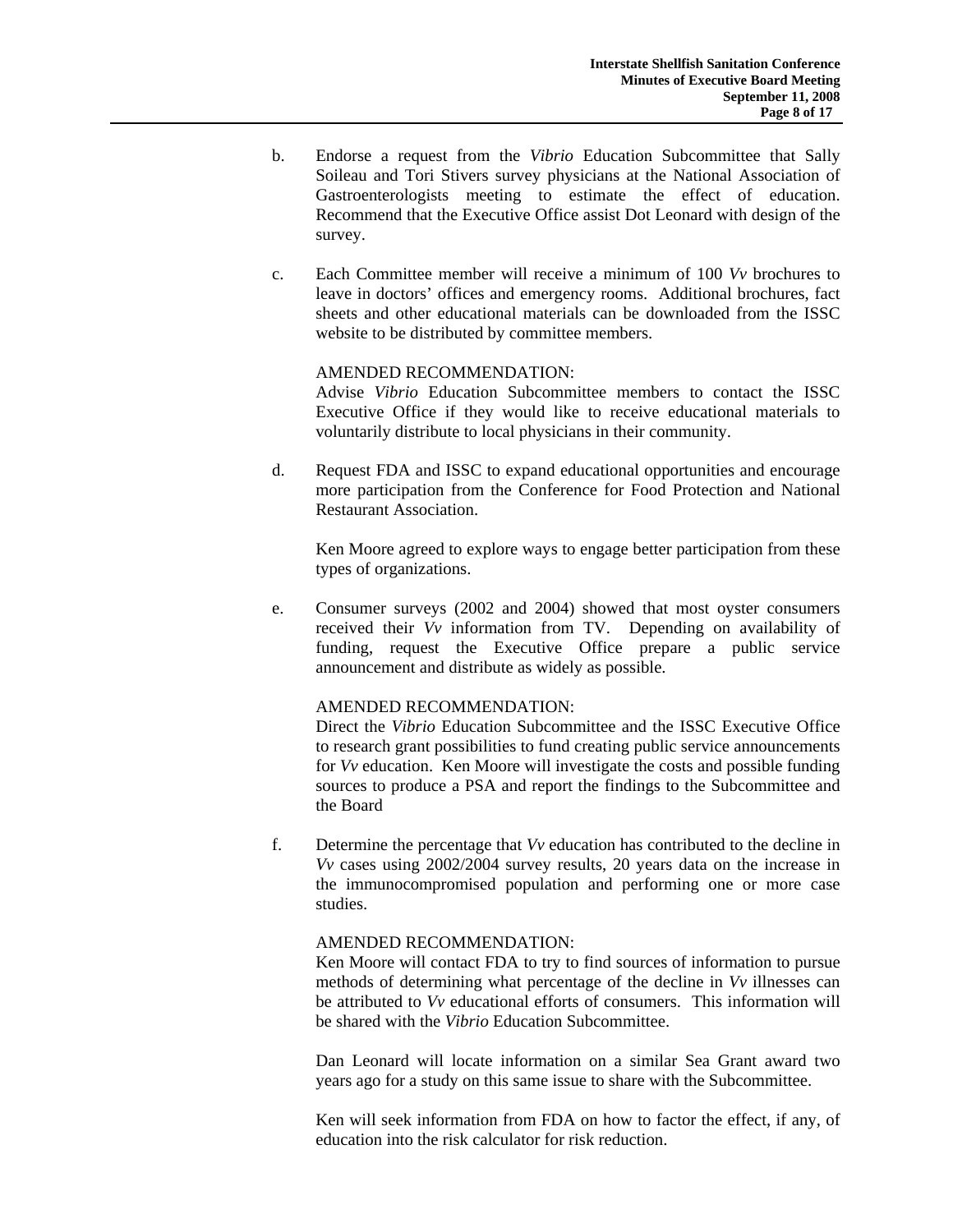- b. Endorse a request from the *Vibrio* Education Subcommittee that Sally Soileau and Tori Stivers survey physicians at the National Association of Gastroenterologists meeting to estimate the effect of education. Recommend that the Executive Office assist Dot Leonard with design of the survey.
- c. Each Committee member will receive a minimum of 100 *Vv* brochures to leave in doctors' offices and emergency rooms. Additional brochures, fact sheets and other educational materials can be downloaded from the ISSC website to be distributed by committee members.

#### AMENDED RECOMMENDATION:

 Advise *Vibrio* Education Subcommittee members to contact the ISSC Executive Office if they would like to receive educational materials to voluntarily distribute to local physicians in their community.

d. Request FDA and ISSC to expand educational opportunities and encourage more participation from the Conference for Food Protection and National Restaurant Association.

 Ken Moore agreed to explore ways to engage better participation from these types of organizations.

e. Consumer surveys (2002 and 2004) showed that most oyster consumers received their *Vv* information from TV. Depending on availability of funding, request the Executive Office prepare a public service announcement and distribute as widely as possible.

## AMENDED RECOMMENDATION:

 Direct the *Vibrio* Education Subcommittee and the ISSC Executive Office to research grant possibilities to fund creating public service announcements for *Vv* education. Ken Moore will investigate the costs and possible funding sources to produce a PSA and report the findings to the Subcommittee and the Board

f. Determine the percentage that *Vv* education has contributed to the decline in *Vv* cases using 2002/2004 survey results, 20 years data on the increase in the immunocompromised population and performing one or more case studies.

#### AMENDED RECOMMENDATION:

 Ken Moore will contact FDA to try to find sources of information to pursue methods of determining what percentage of the decline in *Vv* illnesses can be attributed to *Vv* educational efforts of consumers. This information will be shared with the *Vibrio* Education Subcommittee.

 Dan Leonard will locate information on a similar Sea Grant award two years ago for a study on this same issue to share with the Subcommittee.

 Ken will seek information from FDA on how to factor the effect, if any, of education into the risk calculator for risk reduction.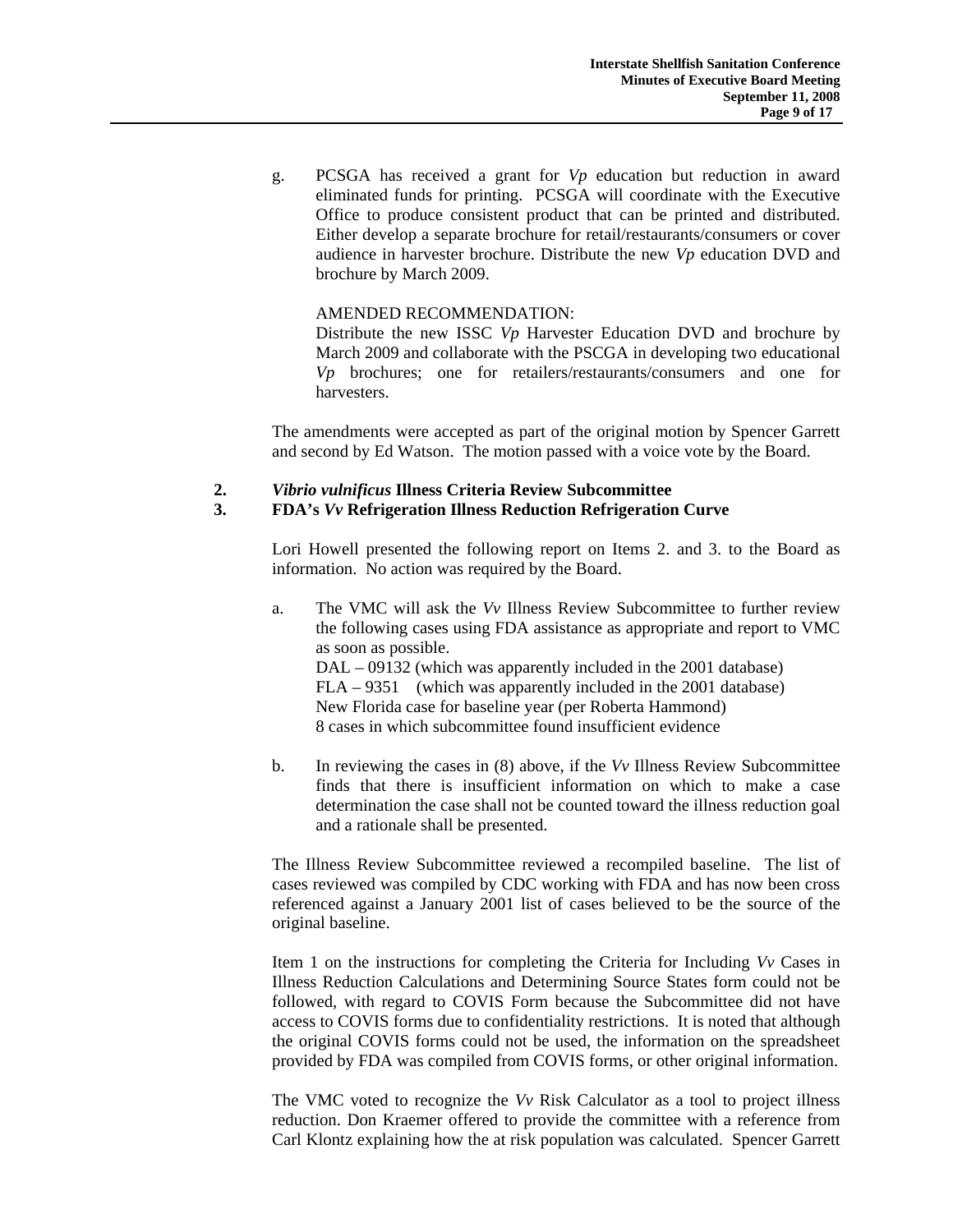g. PCSGA has received a grant for *Vp* education but reduction in award eliminated funds for printing. PCSGA will coordinate with the Executive Office to produce consistent product that can be printed and distributed. Either develop a separate brochure for retail/restaurants/consumers or cover audience in harvester brochure. Distribute the new *Vp* education DVD and brochure by March 2009.

## AMENDED RECOMMENDATION:

 Distribute the new ISSC *Vp* Harvester Education DVD and brochure by March 2009 and collaborate with the PSCGA in developing two educational *Vp* brochures; one for retailers/restaurants/consumers and one for harvesters.

The amendments were accepted as part of the original motion by Spencer Garrett and second by Ed Watson. The motion passed with a voice vote by the Board.

# **2.** *Vibrio vulnificus* **Illness Criteria Review Subcommittee**

## **3. FDA's** *Vv* **Refrigeration Illness Reduction Refrigeration Curve**

Lori Howell presented the following report on Items 2. and 3. to the Board as information. No action was required by the Board.

a. The VMC will ask the *Vv* Illness Review Subcommittee to further review the following cases using FDA assistance as appropriate and report to VMC as soon as possible. DAL – 09132 (which was apparently included in the 2001 database) FLA – 9351 (which was apparently included in the 2001 database) New Florida case for baseline year (per Roberta Hammond)

8 cases in which subcommittee found insufficient evidence

b. In reviewing the cases in (8) above, if the *Vv* Illness Review Subcommittee finds that there is insufficient information on which to make a case determination the case shall not be counted toward the illness reduction goal and a rationale shall be presented.

The Illness Review Subcommittee reviewed a recompiled baseline. The list of cases reviewed was compiled by CDC working with FDA and has now been cross referenced against a January 2001 list of cases believed to be the source of the original baseline.

Item 1 on the instructions for completing the Criteria for Including *Vv* Cases in Illness Reduction Calculations and Determining Source States form could not be followed, with regard to COVIS Form because the Subcommittee did not have access to COVIS forms due to confidentiality restrictions. It is noted that although the original COVIS forms could not be used, the information on the spreadsheet provided by FDA was compiled from COVIS forms, or other original information.

The VMC voted to recognize the *Vv* Risk Calculator as a tool to project illness reduction. Don Kraemer offered to provide the committee with a reference from Carl Klontz explaining how the at risk population was calculated. Spencer Garrett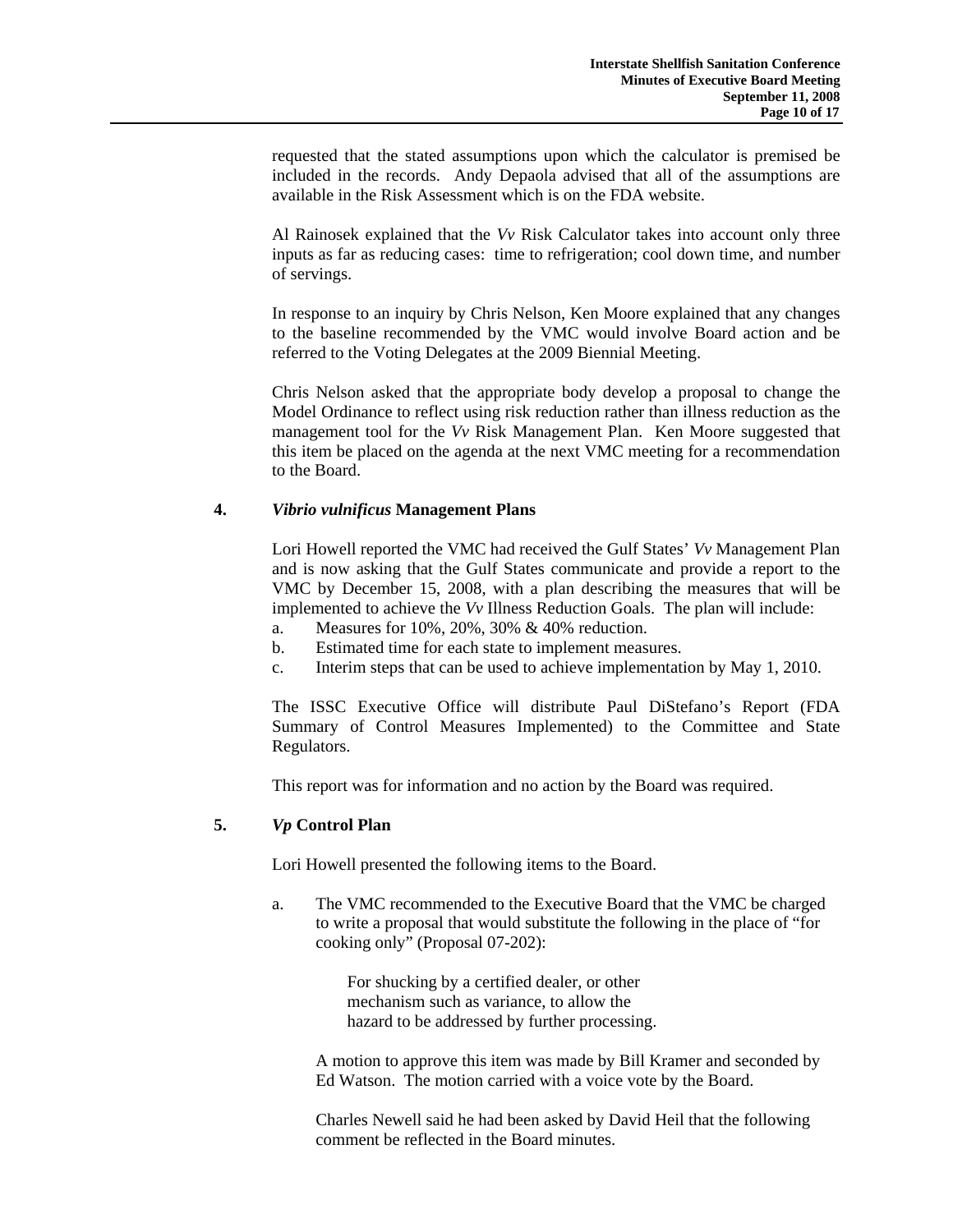requested that the stated assumptions upon which the calculator is premised be included in the records. Andy Depaola advised that all of the assumptions are available in the Risk Assessment which is on the FDA website.

Al Rainosek explained that the *Vv* Risk Calculator takes into account only three inputs as far as reducing cases: time to refrigeration; cool down time, and number of servings.

In response to an inquiry by Chris Nelson, Ken Moore explained that any changes to the baseline recommended by the VMC would involve Board action and be referred to the Voting Delegates at the 2009 Biennial Meeting.

Chris Nelson asked that the appropriate body develop a proposal to change the Model Ordinance to reflect using risk reduction rather than illness reduction as the management tool for the *Vv* Risk Management Plan. Ken Moore suggested that this item be placed on the agenda at the next VMC meeting for a recommendation to the Board.

## **4.** *Vibrio vulnificus* **Management Plans**

Lori Howell reported the VMC had received the Gulf States' *Vv* Management Plan and is now asking that the Gulf States communicate and provide a report to the VMC by December 15, 2008, with a plan describing the measures that will be implemented to achieve the *Vv* Illness Reduction Goals. The plan will include:

- a. Measures for 10%, 20%, 30% & 40% reduction.
- b. Estimated time for each state to implement measures.
- c. Interim steps that can be used to achieve implementation by May 1, 2010.

The ISSC Executive Office will distribute Paul DiStefano's Report (FDA Summary of Control Measures Implemented) to the Committee and State Regulators.

This report was for information and no action by the Board was required.

# **5.** *Vp* **Control Plan**

Lori Howell presented the following items to the Board.

a. The VMC recommended to the Executive Board that the VMC be charged to write a proposal that would substitute the following in the place of "for cooking only" (Proposal 07-202):

> For shucking by a certified dealer, or other mechanism such as variance, to allow the hazard to be addressed by further processing.

A motion to approve this item was made by Bill Kramer and seconded by Ed Watson. The motion carried with a voice vote by the Board.

Charles Newell said he had been asked by David Heil that the following comment be reflected in the Board minutes.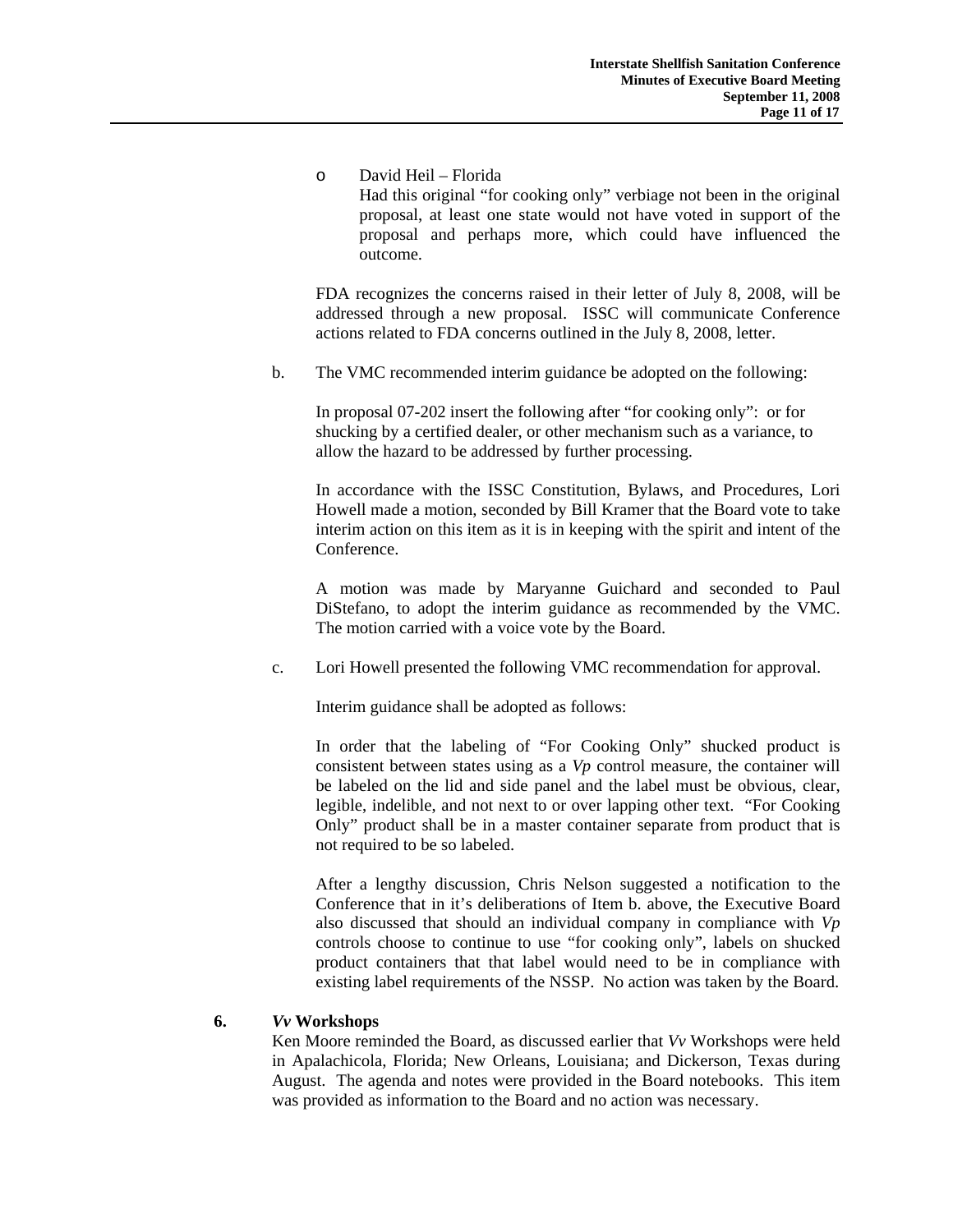o David Heil – Florida Had this original "for cooking only" verbiage not been in the original proposal, at least one state would not have voted in support of the proposal and perhaps more, which could have influenced the outcome.

FDA recognizes the concerns raised in their letter of July 8, 2008, will be addressed through a new proposal. ISSC will communicate Conference actions related to FDA concerns outlined in the July 8, 2008, letter.

b. The VMC recommended interim guidance be adopted on the following:

In proposal 07-202 insert the following after "for cooking only": or for shucking by a certified dealer, or other mechanism such as a variance, to allow the hazard to be addressed by further processing.

In accordance with the ISSC Constitution, Bylaws, and Procedures, Lori Howell made a motion, seconded by Bill Kramer that the Board vote to take interim action on this item as it is in keeping with the spirit and intent of the Conference.

A motion was made by Maryanne Guichard and seconded to Paul DiStefano, to adopt the interim guidance as recommended by the VMC. The motion carried with a voice vote by the Board.

c. Lori Howell presented the following VMC recommendation for approval.

Interim guidance shall be adopted as follows:

In order that the labeling of "For Cooking Only" shucked product is consistent between states using as a *Vp* control measure, the container will be labeled on the lid and side panel and the label must be obvious, clear, legible, indelible, and not next to or over lapping other text. "For Cooking Only" product shall be in a master container separate from product that is not required to be so labeled.

After a lengthy discussion, Chris Nelson suggested a notification to the Conference that in it's deliberations of Item b. above, the Executive Board also discussed that should an individual company in compliance with *Vp* controls choose to continue to use "for cooking only", labels on shucked product containers that that label would need to be in compliance with existing label requirements of the NSSP. No action was taken by the Board.

## **6.** *Vv* **Workshops**

 Ken Moore reminded the Board, as discussed earlier that *Vv* Workshops were held in Apalachicola, Florida; New Orleans, Louisiana; and Dickerson, Texas during August. The agenda and notes were provided in the Board notebooks. This item was provided as information to the Board and no action was necessary.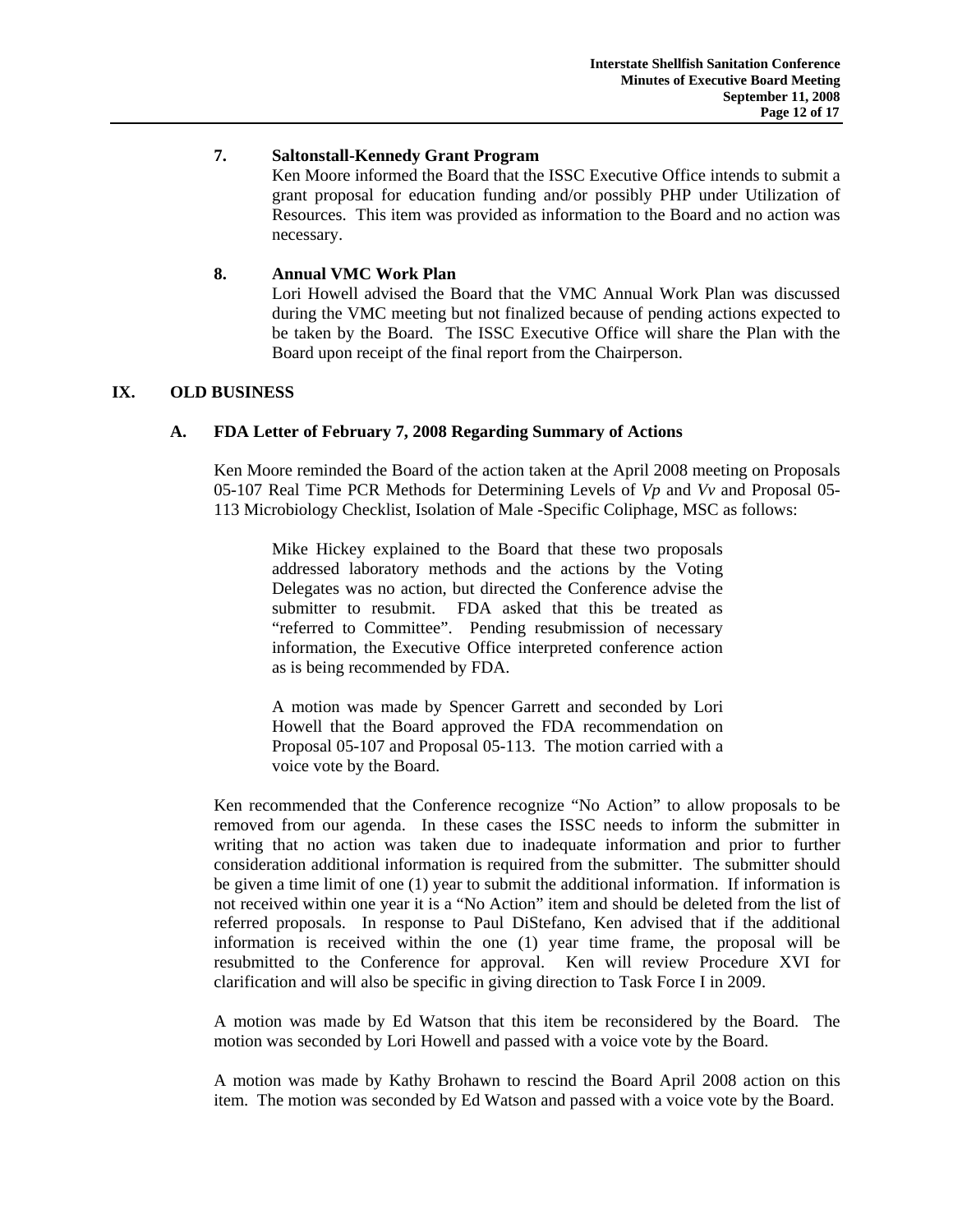### **7. Saltonstall-Kennedy Grant Program**

 Ken Moore informed the Board that the ISSC Executive Office intends to submit a grant proposal for education funding and/or possibly PHP under Utilization of Resources. This item was provided as information to the Board and no action was necessary.

## **8. Annual VMC Work Plan**

Lori Howell advised the Board that the VMC Annual Work Plan was discussed during the VMC meeting but not finalized because of pending actions expected to be taken by the Board. The ISSC Executive Office will share the Plan with the Board upon receipt of the final report from the Chairperson.

# **IX. OLD BUSINESS**

# **A. FDA Letter of February 7, 2008 Regarding Summary of Actions**

Ken Moore reminded the Board of the action taken at the April 2008 meeting on Proposals 05-107 Real Time PCR Methods for Determining Levels of *Vp* and *Vv* and Proposal 05- 113 Microbiology Checklist, Isolation of Male -Specific Coliphage, MSC as follows:

Mike Hickey explained to the Board that these two proposals addressed laboratory methods and the actions by the Voting Delegates was no action, but directed the Conference advise the submitter to resubmit. FDA asked that this be treated as "referred to Committee". Pending resubmission of necessary information, the Executive Office interpreted conference action as is being recommended by FDA.

A motion was made by Spencer Garrett and seconded by Lori Howell that the Board approved the FDA recommendation on Proposal 05-107 and Proposal 05-113. The motion carried with a voice vote by the Board.

Ken recommended that the Conference recognize "No Action" to allow proposals to be removed from our agenda. In these cases the ISSC needs to inform the submitter in writing that no action was taken due to inadequate information and prior to further consideration additional information is required from the submitter. The submitter should be given a time limit of one (1) year to submit the additional information. If information is not received within one year it is a "No Action" item and should be deleted from the list of referred proposals. In response to Paul DiStefano, Ken advised that if the additional information is received within the one (1) year time frame, the proposal will be resubmitted to the Conference for approval. Ken will review Procedure XVI for clarification and will also be specific in giving direction to Task Force I in 2009.

A motion was made by Ed Watson that this item be reconsidered by the Board. The motion was seconded by Lori Howell and passed with a voice vote by the Board.

A motion was made by Kathy Brohawn to rescind the Board April 2008 action on this item. The motion was seconded by Ed Watson and passed with a voice vote by the Board.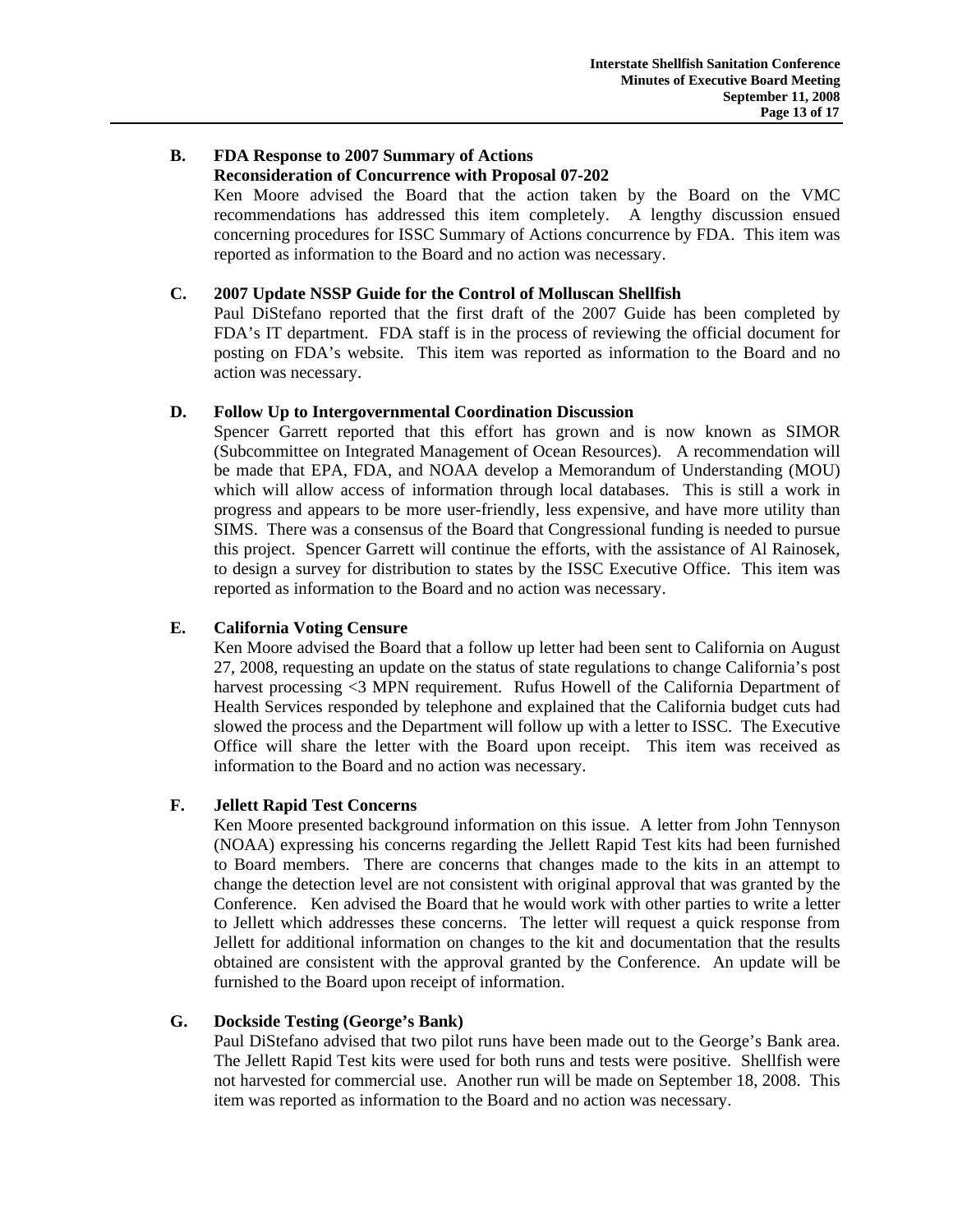# **B. FDA Response to 2007 Summary of Actions Reconsideration of Concurrence with Proposal 07-202**

 Ken Moore advised the Board that the action taken by the Board on the VMC recommendations has addressed this item completely. A lengthy discussion ensued concerning procedures for ISSC Summary of Actions concurrence by FDA. This item was reported as information to the Board and no action was necessary.

## **C. 2007 Update NSSP Guide for the Control of Molluscan Shellfish**

 Paul DiStefano reported that the first draft of the 2007 Guide has been completed by FDA's IT department. FDA staff is in the process of reviewing the official document for posting on FDA's website. This item was reported as information to the Board and no action was necessary.

# **D. Follow Up to Intergovernmental Coordination Discussion**

 Spencer Garrett reported that this effort has grown and is now known as SIMOR (Subcommittee on Integrated Management of Ocean Resources). A recommendation will be made that EPA, FDA, and NOAA develop a Memorandum of Understanding (MOU) which will allow access of information through local databases. This is still a work in progress and appears to be more user-friendly, less expensive, and have more utility than SIMS. There was a consensus of the Board that Congressional funding is needed to pursue this project. Spencer Garrett will continue the efforts, with the assistance of Al Rainosek, to design a survey for distribution to states by the ISSC Executive Office. This item was reported as information to the Board and no action was necessary.

# **E. California Voting Censure**

 Ken Moore advised the Board that a follow up letter had been sent to California on August 27, 2008, requesting an update on the status of state regulations to change California's post harvest processing <3 MPN requirement. Rufus Howell of the California Department of Health Services responded by telephone and explained that the California budget cuts had slowed the process and the Department will follow up with a letter to ISSC. The Executive Office will share the letter with the Board upon receipt. This item was received as information to the Board and no action was necessary.

## **F. Jellett Rapid Test Concerns**

 Ken Moore presented background information on this issue. A letter from John Tennyson (NOAA) expressing his concerns regarding the Jellett Rapid Test kits had been furnished to Board members. There are concerns that changes made to the kits in an attempt to change the detection level are not consistent with original approval that was granted by the Conference. Ken advised the Board that he would work with other parties to write a letter to Jellett which addresses these concerns. The letter will request a quick response from Jellett for additional information on changes to the kit and documentation that the results obtained are consistent with the approval granted by the Conference. An update will be furnished to the Board upon receipt of information.

## **G. Dockside Testing (George's Bank)**

 Paul DiStefano advised that two pilot runs have been made out to the George's Bank area. The Jellett Rapid Test kits were used for both runs and tests were positive. Shellfish were not harvested for commercial use. Another run will be made on September 18, 2008. This item was reported as information to the Board and no action was necessary.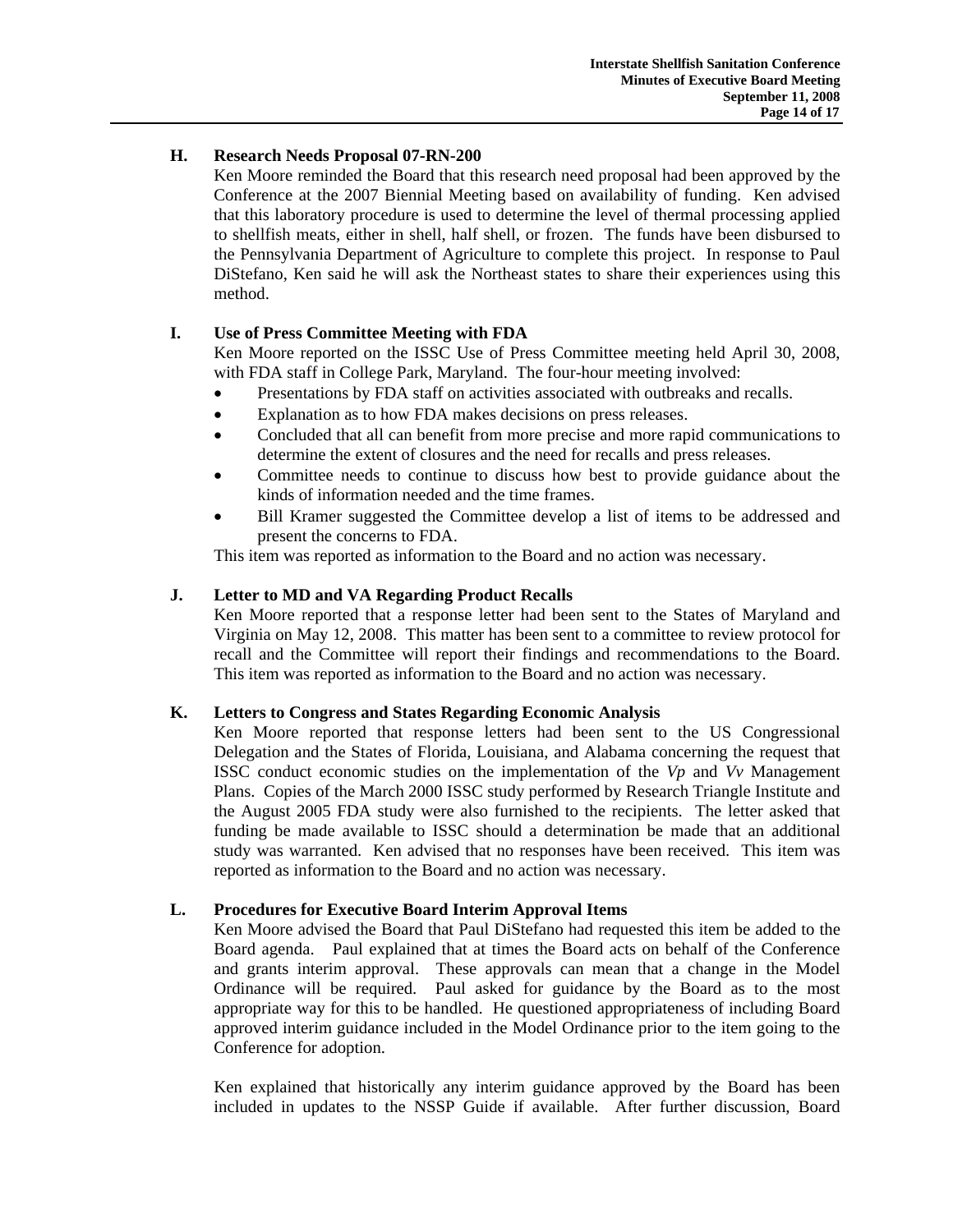# **H. Research Needs Proposal 07-RN-200**

 Ken Moore reminded the Board that this research need proposal had been approved by the Conference at the 2007 Biennial Meeting based on availability of funding. Ken advised that this laboratory procedure is used to determine the level of thermal processing applied to shellfish meats, either in shell, half shell, or frozen. The funds have been disbursed to the Pennsylvania Department of Agriculture to complete this project. In response to Paul DiStefano, Ken said he will ask the Northeast states to share their experiences using this method.

# **I. Use of Press Committee Meeting with FDA**

 Ken Moore reported on the ISSC Use of Press Committee meeting held April 30, 2008, with FDA staff in College Park, Maryland. The four-hour meeting involved:

- Presentations by FDA staff on activities associated with outbreaks and recalls.
- Explanation as to how FDA makes decisions on press releases.
- Concluded that all can benefit from more precise and more rapid communications to determine the extent of closures and the need for recalls and press releases.
- Committee needs to continue to discuss how best to provide guidance about the kinds of information needed and the time frames.
- Bill Kramer suggested the Committee develop a list of items to be addressed and present the concerns to FDA.

This item was reported as information to the Board and no action was necessary.

# **J. Letter to MD and VA Regarding Product Recalls**

Ken Moore reported that a response letter had been sent to the States of Maryland and Virginia on May 12, 2008. This matter has been sent to a committee to review protocol for recall and the Committee will report their findings and recommendations to the Board. This item was reported as information to the Board and no action was necessary.

# **K. Letters to Congress and States Regarding Economic Analysis**

Ken Moore reported that response letters had been sent to the US Congressional Delegation and the States of Florida, Louisiana, and Alabama concerning the request that ISSC conduct economic studies on the implementation of the *Vp* and *Vv* Management Plans. Copies of the March 2000 ISSC study performed by Research Triangle Institute and the August 2005 FDA study were also furnished to the recipients. The letter asked that funding be made available to ISSC should a determination be made that an additional study was warranted. Ken advised that no responses have been received. This item was reported as information to the Board and no action was necessary.

# **L. Procedures for Executive Board Interim Approval Items**

 Ken Moore advised the Board that Paul DiStefano had requested this item be added to the Board agenda. Paul explained that at times the Board acts on behalf of the Conference and grants interim approval. These approvals can mean that a change in the Model Ordinance will be required. Paul asked for guidance by the Board as to the most appropriate way for this to be handled. He questioned appropriateness of including Board approved interim guidance included in the Model Ordinance prior to the item going to the Conference for adoption.

 Ken explained that historically any interim guidance approved by the Board has been included in updates to the NSSP Guide if available. After further discussion, Board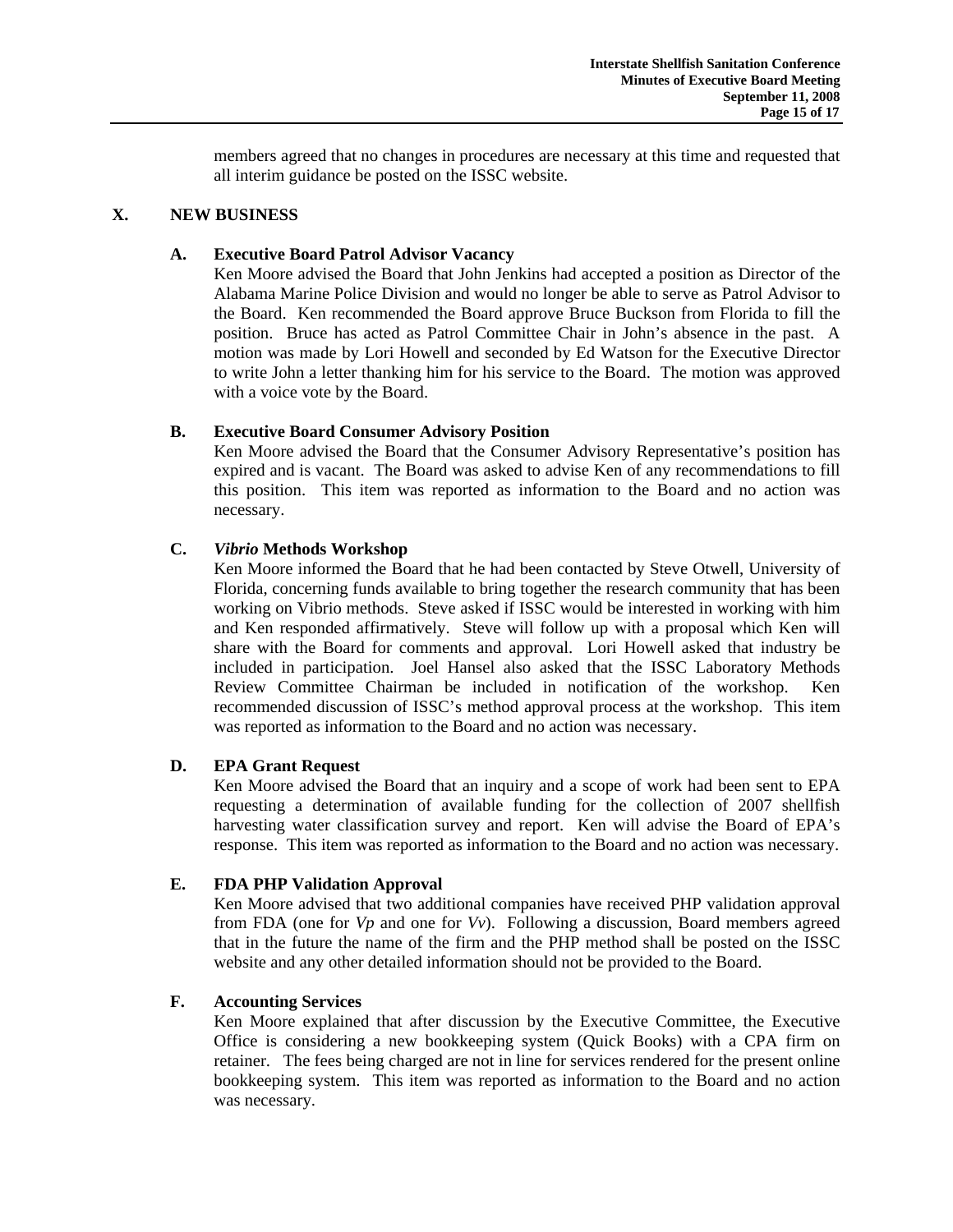members agreed that no changes in procedures are necessary at this time and requested that all interim guidance be posted on the ISSC website.

## **X. NEW BUSINESS**

# **A. Executive Board Patrol Advisor Vacancy**

 Ken Moore advised the Board that John Jenkins had accepted a position as Director of the Alabama Marine Police Division and would no longer be able to serve as Patrol Advisor to the Board. Ken recommended the Board approve Bruce Buckson from Florida to fill the position. Bruce has acted as Patrol Committee Chair in John's absence in the past. A motion was made by Lori Howell and seconded by Ed Watson for the Executive Director to write John a letter thanking him for his service to the Board. The motion was approved with a voice vote by the Board.

# **B. Executive Board Consumer Advisory Position**

Ken Moore advised the Board that the Consumer Advisory Representative's position has expired and is vacant. The Board was asked to advise Ken of any recommendations to fill this position. This item was reported as information to the Board and no action was necessary.

# **C.** *Vibrio* **Methods Workshop**

Ken Moore informed the Board that he had been contacted by Steve Otwell, University of Florida, concerning funds available to bring together the research community that has been working on Vibrio methods. Steve asked if ISSC would be interested in working with him and Ken responded affirmatively. Steve will follow up with a proposal which Ken will share with the Board for comments and approval. Lori Howell asked that industry be included in participation. Joel Hansel also asked that the ISSC Laboratory Methods Review Committee Chairman be included in notification of the workshop. Ken recommended discussion of ISSC's method approval process at the workshop. This item was reported as information to the Board and no action was necessary.

## **D. EPA Grant Request**

Ken Moore advised the Board that an inquiry and a scope of work had been sent to EPA requesting a determination of available funding for the collection of 2007 shellfish harvesting water classification survey and report. Ken will advise the Board of EPA's response. This item was reported as information to the Board and no action was necessary.

## **E. FDA PHP Validation Approval**

 Ken Moore advised that two additional companies have received PHP validation approval from FDA (one for *Vp* and one for *Vv*). Following a discussion, Board members agreed that in the future the name of the firm and the PHP method shall be posted on the ISSC website and any other detailed information should not be provided to the Board.

## **F. Accounting Services**

Ken Moore explained that after discussion by the Executive Committee, the Executive Office is considering a new bookkeeping system (Quick Books) with a CPA firm on retainer. The fees being charged are not in line for services rendered for the present online bookkeeping system. This item was reported as information to the Board and no action was necessary.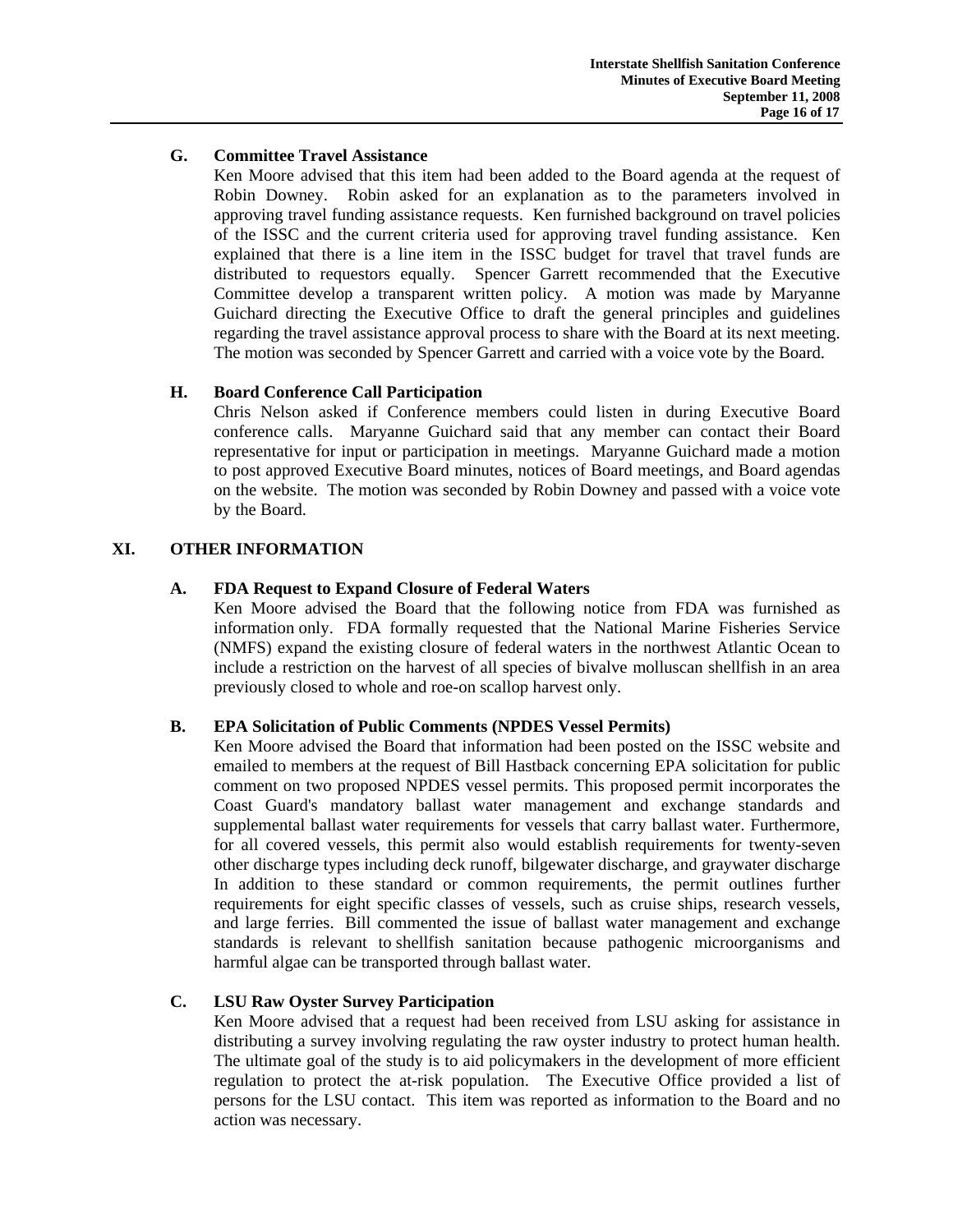# **G. Committee Travel Assistance**

 Ken Moore advised that this item had been added to the Board agenda at the request of Robin Downey. Robin asked for an explanation as to the parameters involved in approving travel funding assistance requests. Ken furnished background on travel policies of the ISSC and the current criteria used for approving travel funding assistance. Ken explained that there is a line item in the ISSC budget for travel that travel funds are distributed to requestors equally. Spencer Garrett recommended that the Executive Committee develop a transparent written policy. A motion was made by Maryanne Guichard directing the Executive Office to draft the general principles and guidelines regarding the travel assistance approval process to share with the Board at its next meeting. The motion was seconded by Spencer Garrett and carried with a voice vote by the Board.

# **H. Board Conference Call Participation**

 Chris Nelson asked if Conference members could listen in during Executive Board conference calls. Maryanne Guichard said that any member can contact their Board representative for input or participation in meetings. Maryanne Guichard made a motion to post approved Executive Board minutes, notices of Board meetings, and Board agendas on the website. The motion was seconded by Robin Downey and passed with a voice vote by the Board.

# **XI. OTHER INFORMATION**

# **A. FDA Request to Expand Closure of Federal Waters**

 Ken Moore advised the Board that the following notice from FDA was furnished as information only. FDA formally requested that the National Marine Fisheries Service (NMFS) expand the existing closure of federal waters in the northwest Atlantic Ocean to include a restriction on the harvest of all species of bivalve molluscan shellfish in an area previously closed to whole and roe-on scallop harvest only.

# **B. EPA Solicitation of Public Comments (NPDES Vessel Permits)**

Ken Moore advised the Board that information had been posted on the ISSC website and emailed to members at the request of Bill Hastback concerning EPA solicitation for public comment on two proposed NPDES vessel permits. This proposed permit incorporates the Coast Guard's mandatory ballast water management and exchange standards and supplemental ballast water requirements for vessels that carry ballast water. Furthermore, for all covered vessels, this permit also would establish requirements for twenty-seven other discharge types including deck runoff, bilgewater discharge, and graywater discharge In addition to these standard or common requirements, the permit outlines further requirements for eight specific classes of vessels, such as cruise ships, research vessels, and large ferries. Bill commented the issue of ballast water management and exchange standards is relevant to shellfish sanitation because pathogenic microorganisms and harmful algae can be transported through ballast water.

# **C. LSU Raw Oyster Survey Participation**

Ken Moore advised that a request had been received from LSU asking for assistance in distributing a survey involving regulating the raw oyster industry to protect human health. The ultimate goal of the study is to aid policymakers in the development of more efficient regulation to protect the at-risk population. The Executive Office provided a list of persons for the LSU contact. This item was reported as information to the Board and no action was necessary.